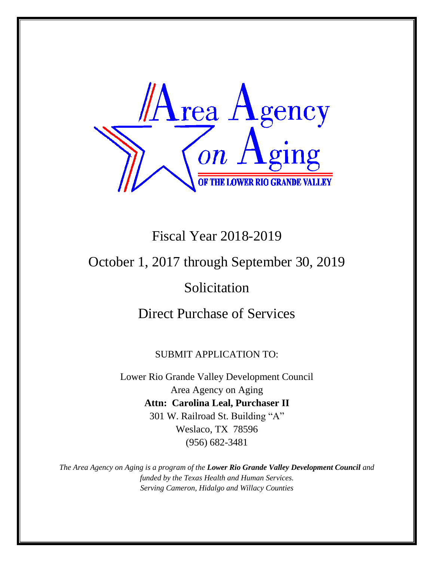

# Fiscal Year 2018-2019

### October 1, 2017 through September 30, 2019

## Solicitation

### Direct Purchase of Services

#### SUBMIT APPLICATION TO:

Lower Rio Grande Valley Development Council Area Agency on Aging **Attn: Carolina Leal, Purchaser II** 301 W. Railroad St. Building "A" Weslaco, TX 78596 (956) 682-3481

*The Area Agency on Aging is a program of the Lower Rio Grande Valley Development Council and funded by the Texas Health and Human Services. Serving Cameron, Hidalgo and Willacy Counties*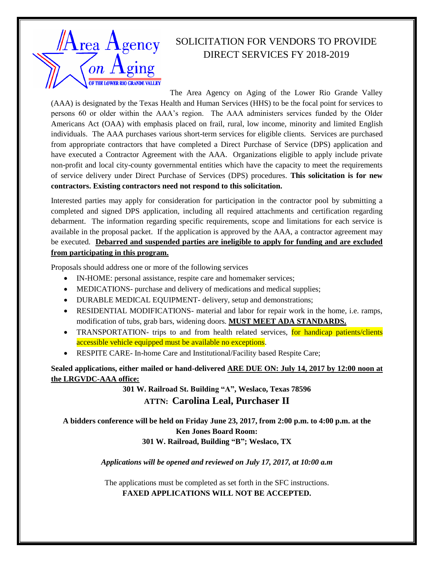

### SOLICITATION FOR VENDORS TO PROVIDE DIRECT SERVICES FY 2018-2019

The Area Agency on Aging of the Lower Rio Grande Valley

(AAA) is designated by the Texas Health and Human Services (HHS) to be the focal point for services to persons 60 or older within the AAA's region. The AAA administers services funded by the Older Americans Act (OAA) with emphasis placed on frail, rural, low income, minority and limited English individuals. The AAA purchases various short-term services for eligible clients. Services are purchased from appropriate contractors that have completed a Direct Purchase of Service (DPS) application and have executed a Contractor Agreement with the AAA. Organizations eligible to apply include private non-profit and local city-county governmental entities which have the capacity to meet the requirements of service delivery under Direct Purchase of Services (DPS) procedures. **This solicitation is for new contractors. Existing contractors need not respond to this solicitation.**

Interested parties may apply for consideration for participation in the contractor pool by submitting a completed and signed DPS application, including all required attachments and certification regarding debarment. The information regarding specific requirements, scope and limitations for each service is available in the proposal packet. If the application is approved by the AAA, a contractor agreement may be executed. **Debarred and suspended parties are ineligible to apply for funding and are excluded from participating in this program.**

Proposals should address one or more of the following services

- IN-HOME: personal assistance, respite care and homemaker services;
- MEDICATIONS- purchase and delivery of medications and medical supplies;
- DURABLE MEDICAL EQUIPMENT- delivery, setup and demonstrations;
- RESIDENTIAL MODIFICATIONS- material and labor for repair work in the home, i.e. ramps, modification of tubs, grab bars, widening doors. **MUST MEET ADA STANDARDS.**
- TRANSPORTATION- trips to and from health related services, for handicap patients/clients accessible vehicle equipped must be available no exceptions.
- RESPITE CARE- In-home Care and Institutional/Facility based Respite Care;

**Sealed applications, either mailed or hand-delivered ARE DUE ON: July 14, 2017 by 12:00 noon at the LRGVDC-AAA office:**

> **301 W. Railroad St. Building "A", Weslaco, Texas 78596 ATTN: Carolina Leal, Purchaser II**

**A bidders conference will be held on Friday June 23, 2017, from 2:00 p.m. to 4:00 p.m. at the Ken Jones Board Room: 301 W. Railroad, Building "B"; Weslaco, TX** 

*Applications will be opened and reviewed on July 17, 2017, at 10:00 a.m*

The applications must be completed as set forth in the SFC instructions. **FAXED APPLICATIONS WILL NOT BE ACCEPTED.**